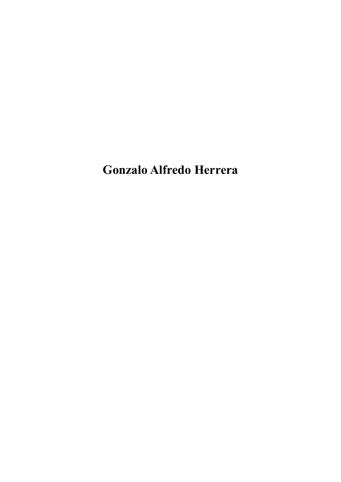**Gonzalo Alfredo Herrera**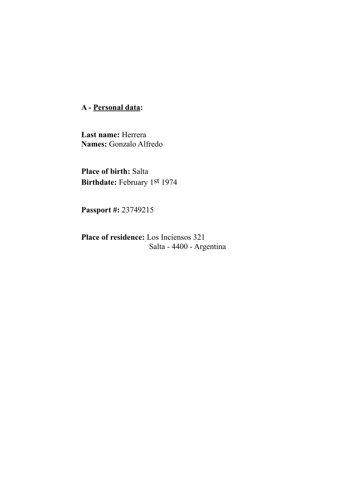**A - Personal data:** 

**Last name:** Herrera **Names:** Gonzalo Alfredo

**Place of birth:** Salta **Birthdate:** February 1st 1974

**Passport #:** 23749215

**Place of residence:** Los Inciensos 321 Salta - 4400 - Argentina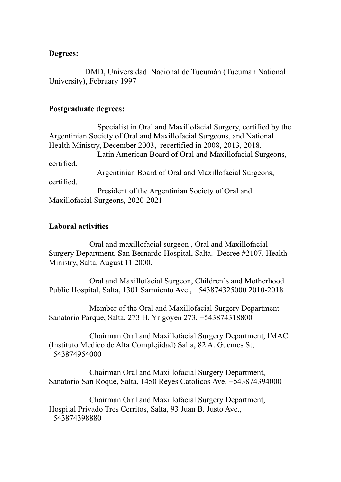## **Degrees:**

 DMD, Universidad Nacional de Tucumán (Tucuman National University), February 1997

### **Postgraduate degrees:**

 Specialist in Oral and Maxillofacial Surgery, certified by the Argentinian Society of Oral and Maxillofacial Surgeons, and National Health Ministry, December 2003, recertified in 2008, 2013, 2018. Latin American Board of Oral and Maxillofacial Surgeons, certified. Argentinian Board of Oral and Maxillofacial Surgeons, certified. President of the Argentinian Society of Oral and Maxillofacial Surgeons, 2020-2021

# **Laboral activities**

Oral and maxillofacial surgeon , Oral and Maxillofacial Surgery Department, San Bernardo Hospital, Salta. Decree #2107, Health Ministry, Salta, August 11 2000.

Oral and Maxillofacial Surgeon, Children´s and Motherhood Public Hospital, Salta, 1301 Sarmiento Ave., +543874325000 2010-2018

Member of the Oral and Maxillofacial Surgery Department Sanatorio Parque, Salta, 273 H. Yrigoyen 273, +543874318800

Chairman Oral and Maxillofacial Surgery Department, IMAC (Instituto Medico de Alta Complejidad) Salta, 82 A. Guemes St, +543874954000

Chairman Oral and Maxillofacial Surgery Department, Sanatorio San Roque, Salta, 1450 Reyes Católicos Ave. +543874394000

Chairman Oral and Maxillofacial Surgery Department, Hospital Privado Tres Cerritos, Salta, 93 Juan B. Justo Ave., +543874398880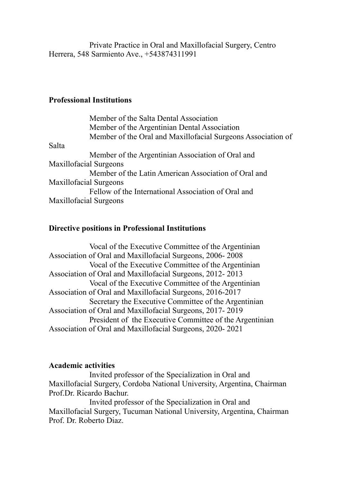Private Practice in Oral and Maxillofacial Surgery, Centro Herrera, 548 Sarmiento Ave., +543874311991

## **Professional Institutions**

|       | Member of the Salta Dental Association                       |
|-------|--------------------------------------------------------------|
|       | Member of the Argentinian Dental Association                 |
|       | Member of the Oral and Maxillofacial Surgeons Association of |
| Salta |                                                              |
|       | Member of the Argentinian Association of Oral and            |
|       | <b>Maxillofacial Surgeons</b>                                |
|       | Member of the Latin American Association of Oral and         |
|       | <b>Maxillofacial Surgeons</b>                                |
|       | Fellow of the International Association of Oral and          |
|       | <b>Maxillofacial Surgeons</b>                                |

# **Directive positions in Professional Institutions**

Vocal of the Executive Committee of the Argentinian Association of Oral and Maxillofacial Surgeons, 2006- 2008 Vocal of the Executive Committee of the Argentinian Association of Oral and Maxillofacial Surgeons, 2012- 2013 Vocal of the Executive Committee of the Argentinian Association of Oral and Maxillofacial Surgeons, 2016-2017 Secretary the Executive Committee of the Argentinian Association of Oral and Maxillofacial Surgeons, 2017- 2019 President of the Executive Committee of the Argentinian Association of Oral and Maxillofacial Surgeons, 2020- 2021

### **Academic activities**

Invited professor of the Specialization in Oral and Maxillofacial Surgery, Cordoba National University, Argentina, Chairman Prof.Dr. Ricardo Bachur.

Invited professor of the Specialization in Oral and Maxillofacial Surgery, Tucuman National University, Argentina, Chairman Prof. Dr. Roberto Diaz.